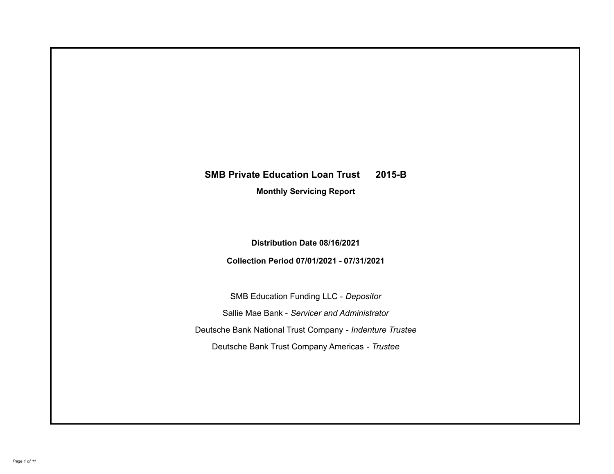# **SMB Private Education Loan Trust 2015-B**

**Monthly Servicing Report**

**Distribution Date 08/16/2021**

**Collection Period 07/01/2021 - 07/31/2021**

SMB Education Funding LLC - *Depositor* Sallie Mae Bank - *Servicer and Administrator* Deutsche Bank National Trust Company - *Indenture Trustee* Deutsche Bank Trust Company Americas - *Trustee*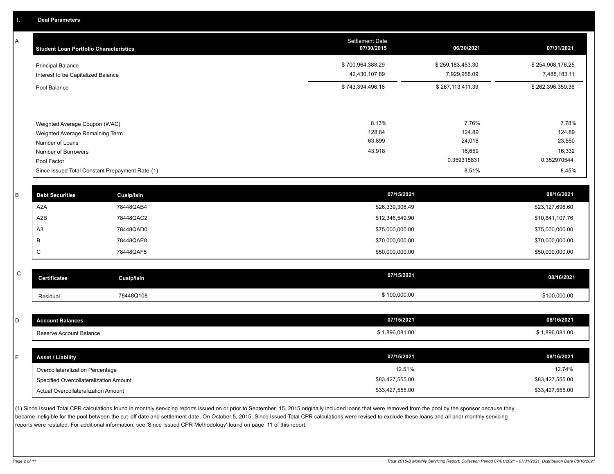A

| <b>Student Loan Portfolio Characteristics</b>                                                              | <b>Settlement Date</b><br>07/30/2015 | 06/30/2021                          | 07/31/2021                          |
|------------------------------------------------------------------------------------------------------------|--------------------------------------|-------------------------------------|-------------------------------------|
| <b>Principal Balance</b><br>Interest to be Capitalized Balance                                             | \$700,964,388.29<br>42,430,107.89    | \$259,183,453.30<br>7,929,958.09    | \$254,908,176.25<br>7,488,183.11    |
| Pool Balance                                                                                               | \$743,394,496.18                     | \$267,113,411.39                    | \$262,396,359.36                    |
| Weighted Average Coupon (WAC)<br>Weighted Average Remaining Term<br>Number of Loans<br>Number of Borrowers | 8.13%<br>128.84<br>63,899<br>43,918  | 7.76%<br>124.89<br>24,018<br>16,659 | 7.78%<br>124.89<br>23,550<br>16,332 |
| Pool Factor                                                                                                |                                      | 0.359315831                         | 0.352970544                         |
| Since Issued Total Constant Prepayment Rate (1)                                                            |                                      | 8.51%                               | 8.45%                               |

| <b>Debt Securities</b> | Cusip/Isin | 07/15/2021      | 08/16/2021      |
|------------------------|------------|-----------------|-----------------|
| A <sub>2</sub> A       | 78448QAB4  | \$26,339,306.49 | \$23,127,696.60 |
| A2B                    | 78448QAC2  | \$12,346,549.90 | \$10,841,107.76 |
| A <sub>3</sub>         | 78448QAD0  | \$75,000,000.00 | \$75,000,000.00 |
|                        | 78448QAE8  | \$70,000,000.00 | \$70,000,000.00 |
| ◡                      | 78448QAF5  | \$50,000,000.00 | \$50,000,000.00 |
|                        |            |                 |                 |

| $\sim$<br>◡ | <b>Certificates</b> | Cusip/Isin | 07/15/2021 | 08/16/2021   |
|-------------|---------------------|------------|------------|--------------|
|             | Residual            | 78448Q108  | 100,000.00 | \$100,000.00 |

| <b>Account Balances</b>                | 07/15/2021      | 08/16/2021      |
|----------------------------------------|-----------------|-----------------|
| Reserve Account Balance                | \$1,896,081.00  | \$1,896,081.00  |
|                                        |                 |                 |
| <b>Asset / Liability</b>               | 07/15/2021      | 08/16/2021      |
| Overcollateralization Percentage       | 12.51%          | 12.74%          |
| Specified Overcollateralization Amount | \$83,427,555.00 | \$83,427,555.00 |
| Actual Overcollateralization Amount    | \$33,427,555.00 | \$33,427,555.00 |

(1) Since Issued Total CPR calculations found in monthly servicing reports issued on or prior to September 15, 2015 originally included loans that were removed from the pool by the sponsor because they became ineligible for the pool between the cut-off date and settlement date. On October 5, 2015, Since Issued Total CPR calculations were revised to exclude these loans and all prior monthly servicing reports were restated. For additional information, see 'Since Issued CPR Methodology' found on page 11 of this report.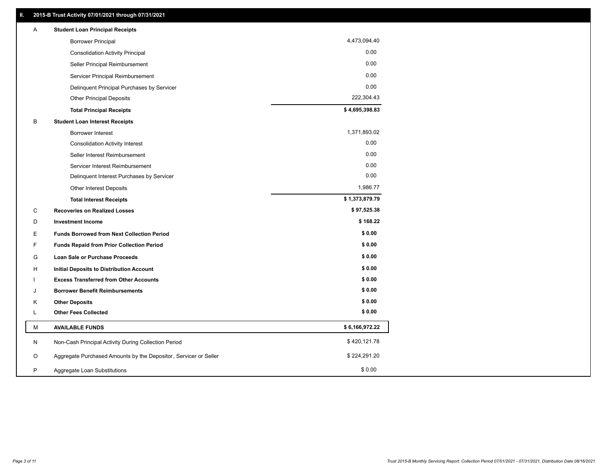| Α | <b>Student Loan Principal Receipts</b>                           |                |
|---|------------------------------------------------------------------|----------------|
|   | <b>Borrower Principal</b>                                        | 4,473,094.40   |
|   | <b>Consolidation Activity Principal</b>                          | 0.00           |
|   | Seller Principal Reimbursement                                   | 0.00           |
|   | Servicer Principal Reimbursement                                 | 0.00           |
|   | Delinquent Principal Purchases by Servicer                       | 0.00           |
|   | <b>Other Principal Deposits</b>                                  | 222,304.43     |
|   | <b>Total Principal Receipts</b>                                  | \$4,695,398.83 |
| B | <b>Student Loan Interest Receipts</b>                            |                |
|   | <b>Borrower Interest</b>                                         | 1,371,893.02   |
|   | <b>Consolidation Activity Interest</b>                           | 0.00           |
|   | Seller Interest Reimbursement                                    | 0.00           |
|   | Servicer Interest Reimbursement                                  | 0.00           |
|   | Delinquent Interest Purchases by Servicer                        | 0.00           |
|   | Other Interest Deposits                                          | 1,986.77       |
|   | <b>Total Interest Receipts</b>                                   | \$1,373,879.79 |
| C | <b>Recoveries on Realized Losses</b>                             | \$97,525.38    |
| D | <b>Investment Income</b>                                         | \$168.22       |
| E | <b>Funds Borrowed from Next Collection Period</b>                | \$0.00         |
| F | <b>Funds Repaid from Prior Collection Period</b>                 | \$0.00         |
| G | Loan Sale or Purchase Proceeds                                   | \$0.00         |
| H | Initial Deposits to Distribution Account                         | \$0.00         |
|   | <b>Excess Transferred from Other Accounts</b>                    | \$0.00         |
| J | <b>Borrower Benefit Reimbursements</b>                           | \$0.00         |
| Κ | <b>Other Deposits</b>                                            | \$0.00         |
| L | <b>Other Fees Collected</b>                                      | \$0.00         |
| М | <b>AVAILABLE FUNDS</b>                                           | \$6,166,972.22 |
| N | Non-Cash Principal Activity During Collection Period             | \$420,121.78   |
| O | Aggregate Purchased Amounts by the Depositor, Servicer or Seller | \$224,291.20   |
| P | Aggregate Loan Substitutions                                     | \$0.00         |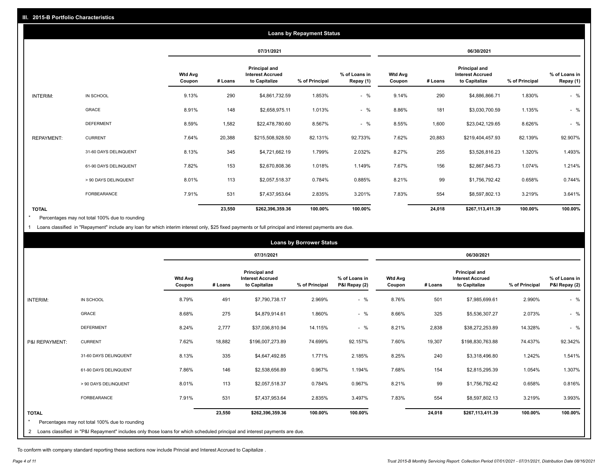|                   | <b>Loans by Repayment Status</b> |                          |         |                                                           |                |                            |                          |         |                                                           |                |                            |
|-------------------|----------------------------------|--------------------------|---------|-----------------------------------------------------------|----------------|----------------------------|--------------------------|---------|-----------------------------------------------------------|----------------|----------------------------|
|                   |                                  |                          |         | 07/31/2021                                                |                |                            |                          |         | 06/30/2021                                                |                |                            |
|                   |                                  | <b>Wtd Avg</b><br>Coupon | # Loans | Principal and<br><b>Interest Accrued</b><br>to Capitalize | % of Principal | % of Loans in<br>Repay (1) | <b>Wtd Avg</b><br>Coupon | # Loans | Principal and<br><b>Interest Accrued</b><br>to Capitalize | % of Principal | % of Loans in<br>Repay (1) |
| INTERIM:          | IN SCHOOL                        | 9.13%                    | 290     | \$4,861,732.59                                            | 1.853%         | $-$ %                      | 9.14%                    | 290     | \$4,886,866.71                                            | 1.830%         | $-$ %                      |
|                   | GRACE                            | 8.91%                    | 148     | \$2,658,975.11                                            | 1.013%         | $-$ %                      | 8.86%                    | 181     | \$3,030,700.59                                            | 1.135%         | $-$ %                      |
|                   | <b>DEFERMENT</b>                 | 8.59%                    | 1,582   | \$22,478,780.60                                           | 8.567%         | $-$ %                      | 8.55%                    | 1,600   | \$23,042,129.65                                           | 8.626%         | $-$ %                      |
| <b>REPAYMENT:</b> | <b>CURRENT</b>                   | 7.64%                    | 20,388  | \$215,508,928.50                                          | 82.131%        | 92.733%                    | 7.62%                    | 20,883  | \$219,404,457.93                                          | 82.139%        | 92.907%                    |
|                   | 31-60 DAYS DELINQUENT            | 8.13%                    | 345     | \$4,721,662.19                                            | 1.799%         | 2.032%                     | 8.27%                    | 255     | \$3,526,816.23                                            | 1.320%         | 1.493%                     |
|                   | 61-90 DAYS DELINQUENT            | 7.82%                    | 153     | \$2,670,808.36                                            | 1.018%         | 1.149%                     | 7.67%                    | 156     | \$2,867,845.73                                            | 1.074%         | 1.214%                     |
|                   | > 90 DAYS DELINQUENT             | 8.01%                    | 113     | \$2,057,518.37                                            | 0.784%         | 0.885%                     | 8.21%                    | 99      | \$1,756,792.42                                            | 0.658%         | 0.744%                     |
|                   | FORBEARANCE                      | 7.91%                    | 531     | \$7,437,953.64                                            | 2.835%         | 3.201%                     | 7.83%                    | 554     | \$8,597,802.13                                            | 3.219%         | 3.641%                     |
| <b>TOTAL</b>      |                                  |                          | 23,550  | \$262,396,359.36                                          | 100.00%        | 100.00%                    |                          | 24,018  | \$267,113,411.39                                          | 100.00%        | 100.00%                    |

Percentages may not total 100% due to rounding \*

1 Loans classified in "Repayment" include any loan for which interim interest only, \$25 fixed payments or full principal and interest payments are due.

| <b>Loans by Borrower Status</b> |                                                                                                                            |                          |         |                                                                  |                |                                |                          |         |                                                           |                |                                |
|---------------------------------|----------------------------------------------------------------------------------------------------------------------------|--------------------------|---------|------------------------------------------------------------------|----------------|--------------------------------|--------------------------|---------|-----------------------------------------------------------|----------------|--------------------------------|
|                                 |                                                                                                                            |                          |         | 07/31/2021                                                       |                |                                | 06/30/2021               |         |                                                           |                |                                |
|                                 |                                                                                                                            | <b>Wtd Avg</b><br>Coupon | # Loans | <b>Principal and</b><br><b>Interest Accrued</b><br>to Capitalize | % of Principal | % of Loans in<br>P&I Repay (2) | <b>Wtd Avg</b><br>Coupon | # Loans | Principal and<br><b>Interest Accrued</b><br>to Capitalize | % of Principal | % of Loans in<br>P&I Repay (2) |
| INTERIM:                        | IN SCHOOL                                                                                                                  | 8.79%                    | 491     | \$7,790,738.17                                                   | 2.969%         | $-$ %                          | 8.76%                    | 501     | \$7,985,699.61                                            | 2.990%         | $-$ %                          |
|                                 | <b>GRACE</b>                                                                                                               | 8.68%                    | 275     | \$4,879,914.61                                                   | 1.860%         | $-$ %                          | 8.66%                    | 325     | \$5,536,307.27                                            | 2.073%         | $-$ %                          |
|                                 | <b>DEFERMENT</b>                                                                                                           | 8.24%                    | 2,777   | \$37,036,810.94                                                  | 14.115%        | $-$ %                          | 8.21%                    | 2,838   | \$38,272,253.89                                           | 14.328%        | $-$ %                          |
| P&I REPAYMENT:                  | <b>CURRENT</b>                                                                                                             | 7.62%                    | 18,882  | \$196,007,273.89                                                 | 74.699%        | 92.157%                        | 7.60%                    | 19,307  | \$198,830,763.88                                          | 74.437%        | 92.342%                        |
|                                 | 31-60 DAYS DELINQUENT                                                                                                      | 8.13%                    | 335     | \$4,647,492.85                                                   | 1.771%         | 2.185%                         | 8.25%                    | 240     | \$3,318,496.80                                            | 1.242%         | 1.541%                         |
|                                 | 61-90 DAYS DELINQUENT                                                                                                      | 7.86%                    | 146     | \$2,538,656.89                                                   | 0.967%         | 1.194%                         | 7.68%                    | 154     | \$2,815,295.39                                            | 1.054%         | 1.307%                         |
|                                 | > 90 DAYS DELINQUENT                                                                                                       | 8.01%                    | 113     | \$2,057,518.37                                                   | 0.784%         | 0.967%                         | 8.21%                    | 99      | \$1,756,792.42                                            | 0.658%         | 0.816%                         |
|                                 | <b>FORBEARANCE</b>                                                                                                         | 7.91%                    | 531     | \$7,437,953.64                                                   | 2.835%         | 3.497%                         | 7.83%                    | 554     | \$8,597,802.13                                            | 3.219%         | 3.993%                         |
| <b>TOTAL</b>                    |                                                                                                                            |                          | 23,550  | \$262,396,359.36                                                 | 100.00%        | 100.00%                        |                          | 24,018  | \$267,113,411.39                                          | 100.00%        | 100.00%                        |
|                                 | Percentages may not total 100% due to rounding                                                                             |                          |         |                                                                  |                |                                |                          |         |                                                           |                |                                |
| $\overline{2}$                  | Loans classified in "P&I Repayment" includes only those loans for which scheduled principal and interest payments are due. |                          |         |                                                                  |                |                                |                          |         |                                                           |                |                                |

To conform with company standard reporting these sections now include Princial and Interest Accrued to Capitalize .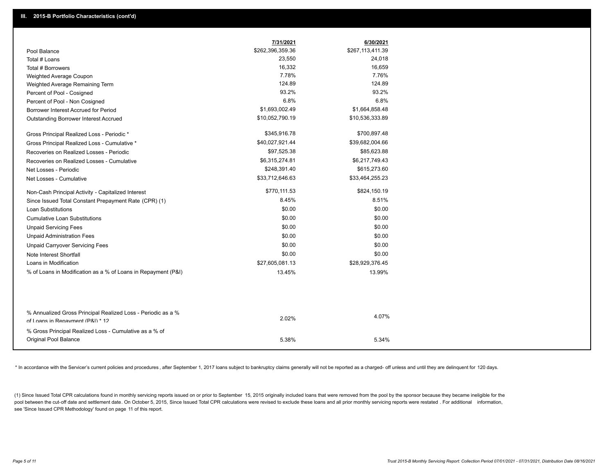|                                                                                                  | 7/31/2021        | 6/30/2021        |
|--------------------------------------------------------------------------------------------------|------------------|------------------|
| Pool Balance                                                                                     | \$262,396,359.36 | \$267,113,411.39 |
| Total # Loans                                                                                    | 23,550           | 24,018           |
| Total # Borrowers                                                                                | 16,332           | 16,659           |
| Weighted Average Coupon                                                                          | 7.78%            | 7.76%            |
| Weighted Average Remaining Term                                                                  | 124.89           | 124.89           |
| Percent of Pool - Cosigned                                                                       | 93.2%            | 93.2%            |
| Percent of Pool - Non Cosigned                                                                   | 6.8%             | 6.8%             |
| Borrower Interest Accrued for Period                                                             | \$1,693,002.49   | \$1,664,858.48   |
| Outstanding Borrower Interest Accrued                                                            | \$10,052,790.19  | \$10,536,333.89  |
| Gross Principal Realized Loss - Periodic *                                                       | \$345,916.78     | \$700,897.48     |
| Gross Principal Realized Loss - Cumulative *                                                     | \$40,027,921.44  | \$39,682,004.66  |
| Recoveries on Realized Losses - Periodic                                                         | \$97,525.38      | \$85,623.88      |
| Recoveries on Realized Losses - Cumulative                                                       | \$6,315,274.81   | \$6,217,749.43   |
| Net Losses - Periodic                                                                            | \$248,391.40     | \$615,273.60     |
| Net Losses - Cumulative                                                                          | \$33,712,646.63  | \$33,464,255.23  |
| Non-Cash Principal Activity - Capitalized Interest                                               | \$770,111.53     | \$824,150.19     |
| Since Issued Total Constant Prepayment Rate (CPR) (1)                                            | 8.45%            | 8.51%            |
| <b>Loan Substitutions</b>                                                                        | \$0.00           | \$0.00           |
| <b>Cumulative Loan Substitutions</b>                                                             | \$0.00           | \$0.00           |
| <b>Unpaid Servicing Fees</b>                                                                     | \$0.00           | \$0.00           |
| <b>Unpaid Administration Fees</b>                                                                | \$0.00           | \$0.00           |
| <b>Unpaid Carryover Servicing Fees</b>                                                           | \$0.00           | \$0.00           |
| Note Interest Shortfall                                                                          | \$0.00           | \$0.00           |
| Loans in Modification                                                                            | \$27,605,081.13  | \$28,929,376.45  |
| % of Loans in Modification as a % of Loans in Repayment (P&I)                                    | 13.45%           | 13.99%           |
|                                                                                                  |                  |                  |
|                                                                                                  |                  |                  |
| % Annualized Gross Principal Realized Loss - Periodic as a %<br>of Loans in Repayment (P&I) * 12 | 2.02%            | 4.07%            |
| % Gross Principal Realized Loss - Cumulative as a % of                                           |                  |                  |
| Original Pool Balance                                                                            | 5.38%            | 5.34%            |

\* In accordance with the Servicer's current policies and procedures, after September 1, 2017 loans subject to bankruptcy claims generally will not be reported as a charged- off unless and until they are delinquent for 120

(1) Since Issued Total CPR calculations found in monthly servicing reports issued on or prior to September 15, 2015 originally included loans that were removed from the pool by the sponsor because they became ineligible fo pool between the cut-off date and settlement date. On October 5, 2015, Since Issued Total CPR calculations were revised to exclude these loans and all prior monthly servicing reports were restated . For additional informat see 'Since Issued CPR Methodology' found on page 11 of this report.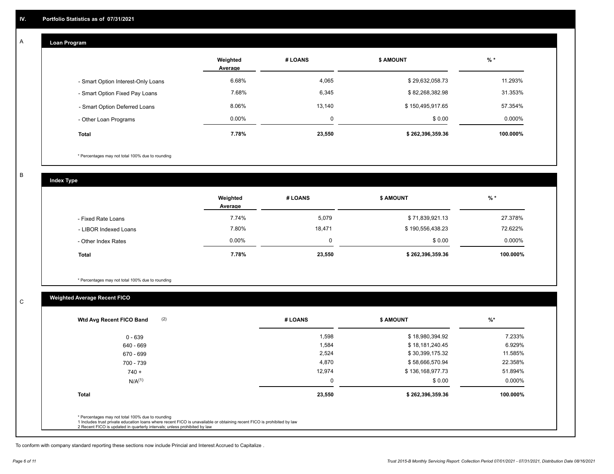#### **Loan Program**  A

|                                    | Weighted<br>Average | # LOANS     | <b>\$ AMOUNT</b> | $%$ *     |
|------------------------------------|---------------------|-------------|------------------|-----------|
| - Smart Option Interest-Only Loans | 6.68%               | 4,065       | \$29,632,058.73  | 11.293%   |
| - Smart Option Fixed Pay Loans     | 7.68%               | 6,345       | \$82,268,382.98  | 31.353%   |
| - Smart Option Deferred Loans      | 8.06%               | 13,140      | \$150,495,917.65 | 57.354%   |
| - Other Loan Programs              | $0.00\%$            | $\mathbf 0$ | \$0.00           | $0.000\%$ |
| <b>Total</b>                       | 7.78%               | 23,550      | \$262,396,359.36 | 100.000%  |

\* Percentages may not total 100% due to rounding

B

C

**Index Type**

|                       | Weighted<br>Average | # LOANS | \$ AMOUNT        | % *       |
|-----------------------|---------------------|---------|------------------|-----------|
| - Fixed Rate Loans    | 7.74%               | 5,079   | \$71,839,921.13  | 27.378%   |
| - LIBOR Indexed Loans | 7.80%               | 18.471  | \$190,556,438.23 | 72.622%   |
| - Other Index Rates   | $0.00\%$            | 0       | \$0.00           | $0.000\%$ |
| <b>Total</b>          | 7.78%               | 23,550  | \$262,396,359.36 | 100.000%  |

\* Percentages may not total 100% due to rounding

### **Weighted Average Recent FICO**

| \$18,980,394.92  | 7.233%              |
|------------------|---------------------|
|                  |                     |
| \$18,181,240.45  | 6.929%              |
| \$30,399,175.32  | 11.585%             |
| \$58,666,570.94  | 22.358%             |
| \$136,168,977.73 | 51.894%             |
|                  | \$0.00<br>$0.000\%$ |
|                  | 100.000%            |
|                  | \$262,396,359.36    |

To conform with company standard reporting these sections now include Princial and Interest Accrued to Capitalize .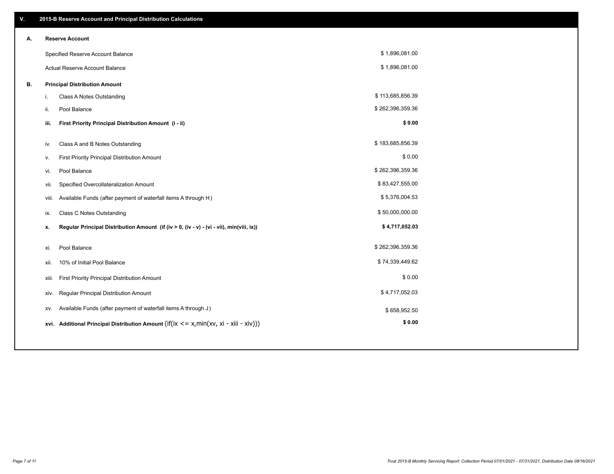| V. |       | 2015-B Reserve Account and Principal Distribution Calculations                              |                  |  |  |  |  |  |  |  |
|----|-------|---------------------------------------------------------------------------------------------|------------------|--|--|--|--|--|--|--|
| Α. |       | <b>Reserve Account</b>                                                                      |                  |  |  |  |  |  |  |  |
|    |       | Specified Reserve Account Balance                                                           | \$1,896,081.00   |  |  |  |  |  |  |  |
|    |       | Actual Reserve Account Balance                                                              | \$1,896,081.00   |  |  |  |  |  |  |  |
| В. |       | <b>Principal Distribution Amount</b>                                                        |                  |  |  |  |  |  |  |  |
|    | i.    | Class A Notes Outstanding                                                                   | \$113,685,856.39 |  |  |  |  |  |  |  |
|    | ii.   | Pool Balance                                                                                | \$262,396,359.36 |  |  |  |  |  |  |  |
|    | iii.  | First Priority Principal Distribution Amount (i - ii)                                       | \$0.00           |  |  |  |  |  |  |  |
|    |       |                                                                                             |                  |  |  |  |  |  |  |  |
|    | iv.   | Class A and B Notes Outstanding                                                             | \$183,685,856.39 |  |  |  |  |  |  |  |
|    | ٧.    | First Priority Principal Distribution Amount                                                | \$0.00           |  |  |  |  |  |  |  |
|    | vi.   | Pool Balance                                                                                | \$262,396,359.36 |  |  |  |  |  |  |  |
|    | vii.  | Specified Overcollateralization Amount                                                      | \$83,427,555.00  |  |  |  |  |  |  |  |
|    | viii. | Available Funds (after payment of waterfall items A through H)                              | \$5,376,004.53   |  |  |  |  |  |  |  |
|    | ix.   | <b>Class C Notes Outstanding</b>                                                            | \$50,000,000.00  |  |  |  |  |  |  |  |
|    | x.    | Regular Principal Distribution Amount (if (iv > 0, (iv - v) - (vi - vii), min(viii, ix))    | \$4,717,052.03   |  |  |  |  |  |  |  |
|    | xi.   | Pool Balance                                                                                | \$262,396,359.36 |  |  |  |  |  |  |  |
|    | xii.  | 10% of Initial Pool Balance                                                                 | \$74,339,449.62  |  |  |  |  |  |  |  |
|    |       |                                                                                             | \$0.00           |  |  |  |  |  |  |  |
|    | xiii. | First Priority Principal Distribution Amount                                                |                  |  |  |  |  |  |  |  |
|    | xiv.  | Regular Principal Distribution Amount                                                       | \$4,717,052.03   |  |  |  |  |  |  |  |
|    | XV.   | Available Funds (after payment of waterfall items A through J)                              | \$658,952.50     |  |  |  |  |  |  |  |
|    |       | xvi. Additional Principal Distribution Amount (if(ix $\leq$ = x, min(xv, xi - xiii - xiv))) | \$0.00           |  |  |  |  |  |  |  |
|    |       |                                                                                             |                  |  |  |  |  |  |  |  |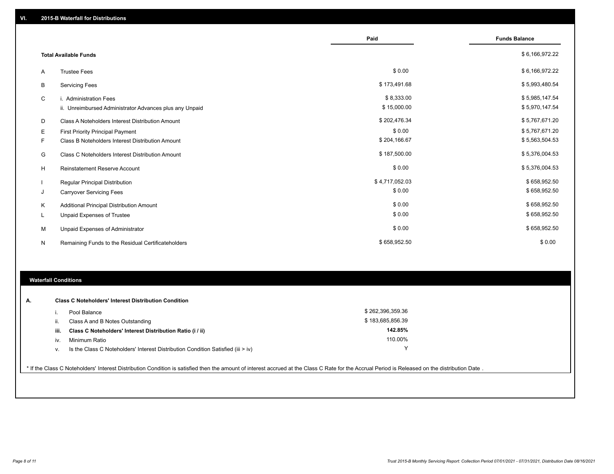|    |                                                         | Paid           | <b>Funds Balance</b> |
|----|---------------------------------------------------------|----------------|----------------------|
|    | <b>Total Available Funds</b>                            |                | \$6,166,972.22       |
| A  | <b>Trustee Fees</b>                                     | \$0.00         | \$6,166,972.22       |
| B  | <b>Servicing Fees</b>                                   | \$173,491.68   | \$5,993,480.54       |
| C  | i. Administration Fees                                  | \$8,333.00     | \$5,985,147.54       |
|    | ii. Unreimbursed Administrator Advances plus any Unpaid | \$15,000.00    | \$5,970,147.54       |
| D  | Class A Noteholders Interest Distribution Amount        | \$202,476.34   | \$5,767,671.20       |
| Е  | <b>First Priority Principal Payment</b>                 | \$0.00         | \$5,767,671.20       |
| F. | Class B Noteholders Interest Distribution Amount        | \$204,166.67   | \$5,563,504.53       |
| G  | <b>Class C Noteholders Interest Distribution Amount</b> | \$187,500.00   | \$5,376,004.53       |
| H  | <b>Reinstatement Reserve Account</b>                    | \$0.00         | \$5,376,004.53       |
|    | <b>Regular Principal Distribution</b>                   | \$4,717,052.03 | \$658,952.50         |
| J  | <b>Carryover Servicing Fees</b>                         | \$0.00         | \$658,952.50         |
| Κ  | Additional Principal Distribution Amount                | \$0.00         | \$658,952.50         |
| L  | Unpaid Expenses of Trustee                              | \$0.00         | \$658,952.50         |
| м  | Unpaid Expenses of Administrator                        | \$0.00         | \$658,952.50         |
| N  | Remaining Funds to the Residual Certificateholders      | \$658,952.50   | \$0.00               |

### **Waterfall Conditions**

| А. |      | <b>Class C Noteholders' Interest Distribution Condition</b>                      |                  |  |
|----|------|----------------------------------------------------------------------------------|------------------|--|
|    |      | Pool Balance                                                                     | \$262,396,359.36 |  |
|    | н.   | Class A and B Notes Outstanding                                                  | \$183,685,856.39 |  |
|    | iii. | Class C Noteholders' Interest Distribution Ratio (i / ii)                        | 142.85%          |  |
|    | iv   | Minimum Ratio                                                                    | 110.00%          |  |
|    | v.   | Is the Class C Noteholders' Interest Distribution Condition Satisfied (iii > iv) |                  |  |
|    |      |                                                                                  |                  |  |

\* If the Class C Noteholders' Interest Distribution Condition is satisfied then the amount of interest accrued at the Class C Rate for the Accrual Period is Released on the distribution Date .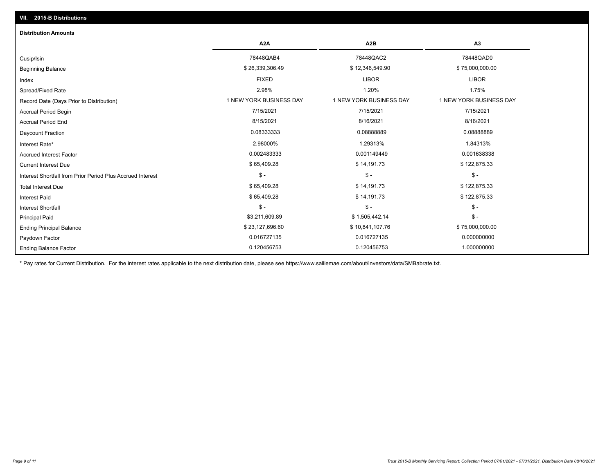## Ending Balance Factor Paydown Factor 0.016727135 0.016727135 0.000000000 Ending Principal Balance \$ 75,000,000.00 \$ \$ 23,127,696.60 \$ \$ 10,841,107.76 \$ 75,000,000.00 \$ \$ 75,000,000.00 Principal Paid \$3,211,609.89 \$ 1,505,442.14 \$ - \$ - \$ - \$ - Interest Shortfall \$ 65,409.28 \$ 14,191.73 \$ 122,875.33 Interest Paid Total Interest Due \$ 65,409.28 \$ 14,191.73 \$ 122,875.33 \$ - \$ - \$ - Interest Shortfall from Prior Period Plus Accrued Interest Current Interest Due \$ 65,409.28 \$ 14,191.73 \$ 122,875.33 Accrued Interest Factor **2.0001638338** 0.002483333 0.002483333 0.001149449 0.001149449 0.001638338 Interest Rate\* 2.98000% 1.29313% 1.84313% Daycount Fraction 0.08333333 0.08888889 0.08888889 Accrual Period End 8/15/2021 8/16/2021 8/16/2021 Accrual Period Begin 7/15/2021 7/15/2021 7/15/2021 Record Date (Days Prior to Distribution) **1 NEW YORK BUSINESS DAY** 1 NEW YORK BUSINESS DAY 1 NEW YORK BUSINESS DAY Spread/Fixed Rate 2.98% 1.20% 1.75% Index FIXED LIBOR LIBOR Beginning Balance \$ 26,339,306.49 \$ 36,339,306.49 \$ \$ 12,346,549.90 \$ 75,000,000.00 \$ 75,000,000.00 \$ \$ 75,000 Cusip/Isin 78448QAB4 78448QAC2 78448QAD0 **A2A A2B A3** 0.120456753 0.120456753 1.000000000 **Distribution Amounts**

\* Pay rates for Current Distribution. For the interest rates applicable to the next distribution date, please see https://www.salliemae.com/about/investors/data/SMBabrate.txt.

**VII. 2015-B Distributions**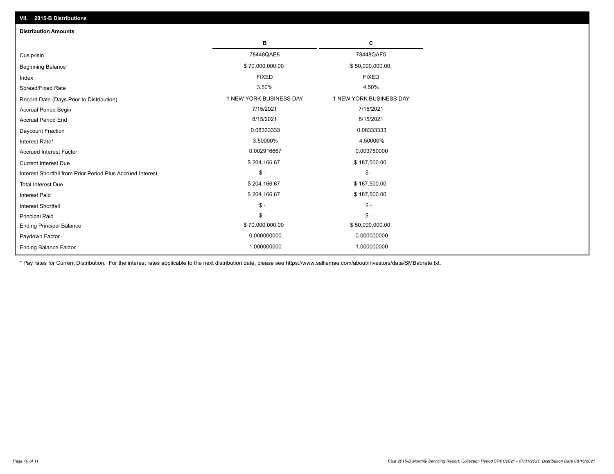| VII. 2015-B Distributions                                  |                         |                         |  |  |  |
|------------------------------------------------------------|-------------------------|-------------------------|--|--|--|
| <b>Distribution Amounts</b>                                |                         |                         |  |  |  |
|                                                            | в                       | C                       |  |  |  |
| Cusip/Isin                                                 | 78448QAE8               | 78448QAF5               |  |  |  |
| <b>Beginning Balance</b>                                   | \$70,000,000.00         | \$50,000,000.00         |  |  |  |
| Index                                                      | <b>FIXED</b>            | <b>FIXED</b>            |  |  |  |
| Spread/Fixed Rate                                          | 3.50%                   | 4.50%                   |  |  |  |
| Record Date (Days Prior to Distribution)                   | 1 NEW YORK BUSINESS DAY | 1 NEW YORK BUSINESS DAY |  |  |  |
| <b>Accrual Period Begin</b>                                | 7/15/2021               | 7/15/2021               |  |  |  |
| <b>Accrual Period End</b>                                  | 8/15/2021               | 8/15/2021               |  |  |  |
| Daycount Fraction                                          | 0.08333333              | 0.08333333              |  |  |  |
| Interest Rate*                                             | 3.50000%                | 4.50000%                |  |  |  |
| <b>Accrued Interest Factor</b>                             | 0.002916667             | 0.003750000             |  |  |  |
| <b>Current Interest Due</b>                                | \$204,166.67            | \$187,500.00            |  |  |  |
| Interest Shortfall from Prior Period Plus Accrued Interest | $\mathcal{S}$ -         | $\frac{1}{2}$           |  |  |  |
| <b>Total Interest Due</b>                                  | \$204,166.67            | \$187,500.00            |  |  |  |
| Interest Paid                                              | \$204,166.67            | \$187,500.00            |  |  |  |
| Interest Shortfall                                         | $\mathcal{S}$ -         | $\frac{1}{2}$           |  |  |  |
| <b>Principal Paid</b>                                      | $$ -$                   | $$ -$                   |  |  |  |
| <b>Ending Principal Balance</b>                            | \$70,000,000.00         | \$50,000,000.00         |  |  |  |
| Paydown Factor                                             | 0.000000000             | 0.000000000             |  |  |  |
| <b>Ending Balance Factor</b>                               | 1.000000000             | 1.000000000             |  |  |  |

\* Pay rates for Current Distribution. For the interest rates applicable to the next distribution date, please see https://www.salliemae.com/about/investors/data/SMBabrate.txt.